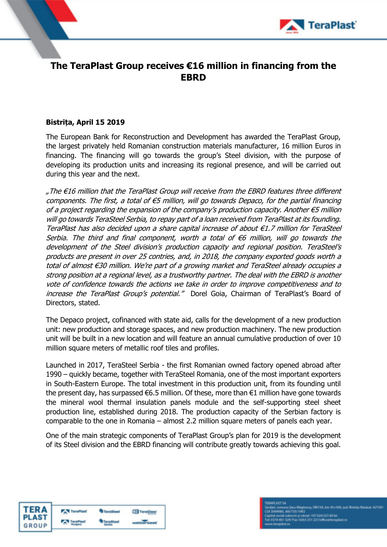

## **The TeraPlast Group receives €16 million in financing from the EBRD**

## **Bistrița, April 15 2019**

The European Bank for Reconstruction and Development has awarded the TeraPlast Group, the largest privately held Romanian construction materials manufacturer, 16 million Euros in financing. The financing will go towards the group's Steel division, with the purpose of developing its production units and increasing its regional presence, and will be carried out during this year and the next.

"The €16 million that the TeraPlast Group will receive from the EBRD features three different components. The first, a total of  $\epsilon$ 5 million, will go towards Depaco, for the partial financing of a project regarding the expansion of the company's production capacity. Another €5 million will go towards TeraSteel Serbia, to repay part of a loan received from TeraPlast at its founding. TeraPlast has also decided upon a share capital increase of about €1.7 million for TeraSteel Serbia. The third and final component, worth a total of  $\epsilon$ 6 million, will go towards the development of the Steel division's production capacity and regional position. TeraSteel's products are present in over 25 contries, and, in 2018, the company exported goods worth a total of almost €30 million. We're part of a growing market and TeraSteel already occupies a strong position at a regional level, as a trustworthy partner. The deal with the EBRD is another vote of confidence towards the actions we take in order to improve competitiveness and to increase the TeraPlast Group's potential." Dorel Goia, Chairman of TeraPlast's Board of Directors, stated.

The Depaco project, cofinanced with state aid, calls for the development of a new production unit: new production and storage spaces, and new production machinery. The new production unit will be built in a new location and will feature an annual cumulative production of over 10 million square meters of metallic roof tiles and profiles.

Launched in 2017, TeraSteel Serbia - the first Romanian owned factory opened abroad after 1990 – quickly became, together with TeraSteel Romania, one of the most important exporters in South-Eastern Europe. The total investment in this production unit, from its founding until the present day, has surpassed €6.5 million. Of these, more than €1 million have gone towards the mineral wool thermal insulation panels module and the self-supporting steel sheet production line, established during 2018. The production capacity of the Serbian factory is comparable to the one in Romania – almost 2.2 million square meters of panels each year.

One of the main strategic components of TeraPlast Group's plan for 2019 is the development of its Steel division and the EBRD financing will contribute greatly towards achieving this goal.

| <b>TERA</b> | <b>TeraPlast</b> | <sup>T</sup> eraSteel | TeraGlass |
|-------------|------------------|-----------------------|-----------|
|             |                  |                       |           |
| GROUP       |                  |                       |           |